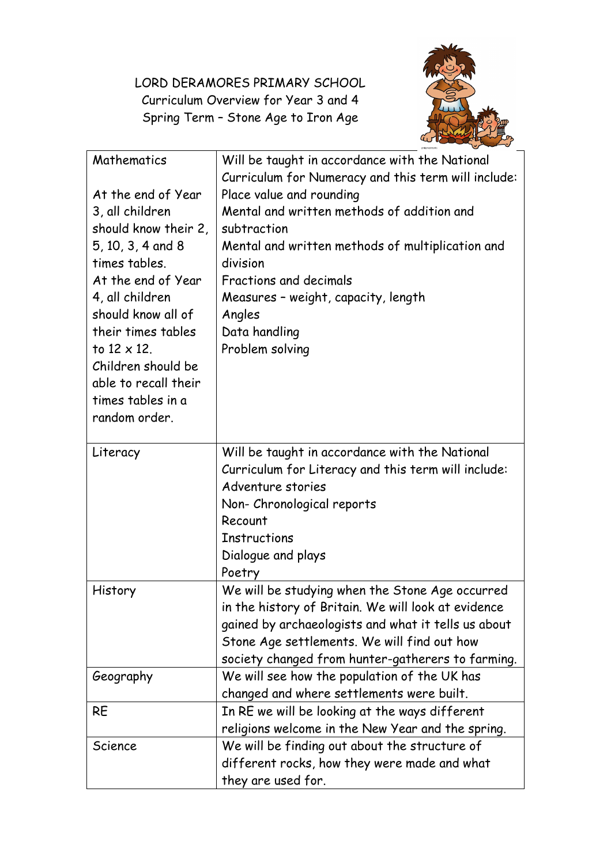LORD DERAMORES PRIMARY SCHOOL Curriculum Overview for Year 3 and 4 Spring Term – Stone Age to Iron Age



| Mathematics          | Will be taught in accordance with the National      |
|----------------------|-----------------------------------------------------|
|                      | Curriculum for Numeracy and this term will include: |
| At the end of Year   | Place value and rounding                            |
| 3, all children      | Mental and written methods of addition and          |
| should know their 2, | subtraction                                         |
| 5, 10, 3, 4 and 8    | Mental and written methods of multiplication and    |
| times tables.        | division                                            |
| At the end of Year   | Fractions and decimals                              |
| 4, all children      | Measures - weight, capacity, length                 |
| should know all of   | Angles                                              |
| their times tables   | Data handling                                       |
| to $12 \times 12$ .  | Problem solving                                     |
| Children should be   |                                                     |
| able to recall their |                                                     |
| times tables in a    |                                                     |
| random order.        |                                                     |
|                      |                                                     |
| Literacy             | Will be taught in accordance with the National      |
|                      | Curriculum for Literacy and this term will include: |
|                      | Adventure stories                                   |
|                      | Non- Chronological reports                          |
|                      | Recount                                             |
|                      | <b>Instructions</b>                                 |
|                      | Dialogue and plays                                  |
|                      | Poetry                                              |
| History              | We will be studying when the Stone Age occurred     |
|                      | in the history of Britain. We will look at evidence |
|                      | gained by archaeologists and what it tells us about |
|                      | Stone Age settlements. We will find out how         |
|                      | society changed from hunter-gatherers to farming.   |
| Geography            | We will see how the population of the UK has        |
|                      | changed and where settlements were built.           |
| RE                   | In RE we will be looking at the ways different      |
|                      | religions welcome in the New Year and the spring.   |
| Science              | We will be finding out about the structure of       |
|                      | different rocks, how they were made and what        |
|                      | they are used for.                                  |